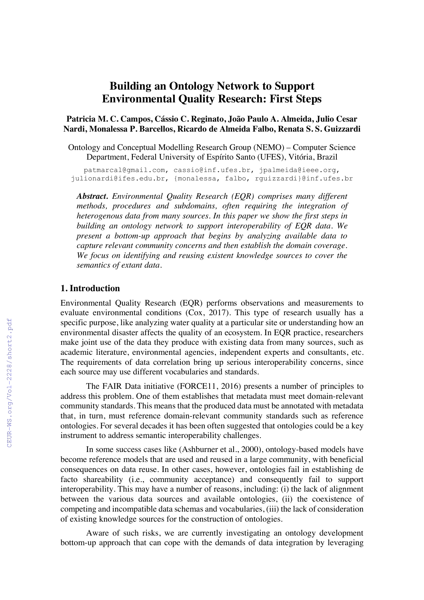# **Building an Ontology Network to Support Environmental Quality Research: First Steps**

**Patricia M. C. Campos, Cássio C. Reginato, João Paulo A. Almeida, Julio Cesar Nardi, Monalessa P. Barcellos, Ricardo de Almeida Falbo, Renata S. S. Guizzardi**

Ontology and Conceptual Modelling Research Group (NEMO) – Computer Science Department, Federal University of Espírito Santo (UFES), Vitória, Brazil

patmarcal@gmail.com, cassio@inf.ufes.br, jpalmeida@ieee.org, julionardi@ifes.edu.br, {monalessa, falbo, rguizzardi}@inf.ufes.br

*Abstract. Environmental Quality Research (EQR) comprises many different methods, procedures and subdomains, often requiring the integration of heterogenous data from many sources. In this paper we show the first steps in building an ontology network to support interoperability of EQR data. We present a bottom-up approach that begins by analyzing available data to capture relevant community concerns and then establish the domain coverage. We focus on identifying and reusing existent knowledge sources to cover the semantics of extant data.*

### **1. Introduction**

Environmental Quality Research (EQR) performs observations and measurements to evaluate environmental conditions (Cox, 2017). This type of research usually has a specific purpose, like analyzing water quality at a particular site or understanding how an environmental disaster affects the quality of an ecosystem. In EQR practice, researchers make joint use of the data they produce with existing data from many sources, such as academic literature, environmental agencies, independent experts and consultants, etc. The requirements of data correlation bring up serious interoperability concerns, since each source may use different vocabularies and standards.

The FAIR Data initiative (FORCE11, 2016) presents a number of principles to address this problem. One of them establishes that metadata must meet domain-relevant community standards. This means that the produced data must be annotated with metadata that, in turn, must reference domain-relevant community standards such as reference ontologies. For several decades it has been often suggested that ontologies could be a key instrument to address semantic interoperability challenges.

In some success cases like (Ashburner et al., 2000), ontology-based models have become reference models that are used and reused in a large community, with beneficial consequences on data reuse. In other cases, however, ontologies fail in establishing de facto shareability (i.e., community acceptance) and consequently fail to support interoperability. This may have a number of reasons, including: (i) the lack of alignment between the various data sources and available ontologies, (ii) the coexistence of competing and incompatible data schemas and vocabularies, (iii) the lack of consideration of existing knowledge sources for the construction of ontologies.

Aware of such risks, we are currently investigating an ontology development bottom-up approach that can cope with the demands of data integration by leveraging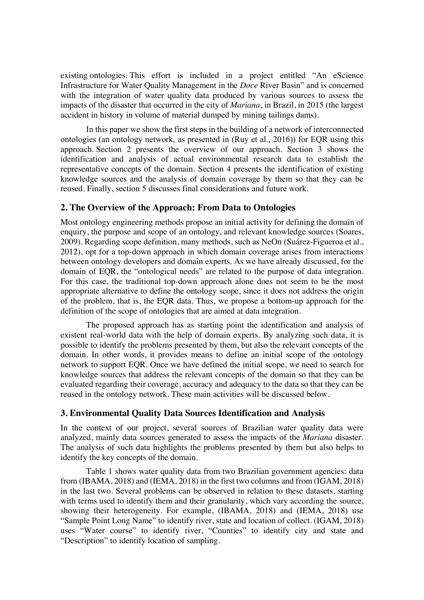existing ontologies. This effort is included in a project entitled "An eScience Infrastructure for Water Quality Management in the *Doce* River Basin" and is concerned with the integration of water quality data produced by various sources to assess the impacts of the disaster that occurred in the city of *Mariana*, in Brazil, in 2015 (the largest accident in history in volume of material dumped by mining tailings dams).

In this paper we show the first steps in the building of a network of interconnected ontologies (an ontology network, as presented in (Ruy et al., 2016)) for EQR using this approach. Section 2 presents the overview of our approach. Section 3 shows the identification and analysis of actual environmental research data to establish the representative concepts of the domain. Section 4 presents the identification of existing knowledge sources and the analysis of domain coverage by them so that they can be reused. Finally, section 5 discusses final considerations and future work.

## **2. The Overview of the Approach: From Data to Ontologies**

Most ontology engineering methods propose an initial activity for defining the domain of enquiry, the purpose and scope of an ontology, and relevant knowledge sources (Soares, 2009). Regarding scope definition, many methods, such as NeOn (Suárez-Figueroa et al., 2012), opt for a top-down approach in which domain coverage arises from interactions between ontology developers and domain experts. As we have already discussed, for the domain of EQR, the "ontological needs" are related to the purpose of data integration. For this case, the traditional top-down approach alone does not seem to be the most appropriate alternative to define the ontology scope, since it does not address the origin of the problem, that is, the EQR data. Thus, we propose a bottom-up approach for the definition of the scope of ontologies that are aimed at data integration.

The proposed approach has as starting point the identification and analysis of existent real-world data with the help of domain experts. By analyzing such data, it is possible to identify the problems presented by them, but also the relevant concepts of the domain. In other words, it provides means to define an initial scope of the ontology network to support EQR. Once we have defined the initial scope, we need to search for knowledge sources that address the relevant concepts of the domain so that they can be evaluated regarding their coverage, accuracy and adequacy to the data so that they can be reused in the ontology network. These main activities will be discussed below.

# **3. Environmental Quality Data Sources Identification and Analysis**

In the context of our project, several sources of Brazilian water quality data were analyzed, mainly data sources generated to assess the impacts of the *Mariana* disaster. The analysis of such data highlights the problems presented by them but also helps to identify the key concepts of the domain.

Table 1 shows water quality data from two Brazilian government agencies: data from (IBAMA, 2018) and (IEMA, 2018) in the first two columns and from (IGAM, 2018) in the last two. Several problems can be observed in relation to these datasets, starting with terms used to identify them and their granularity, which vary according the source, showing their heterogeneity. For example, (IBAMA, 2018) and (IEMA, 2018) use "Sample Point Long Name" to identify river, state and location of collect. (IGAM, 2018) uses "Water course" to identify river, "Counties" to identify city and state and "Description" to identify location of sampling.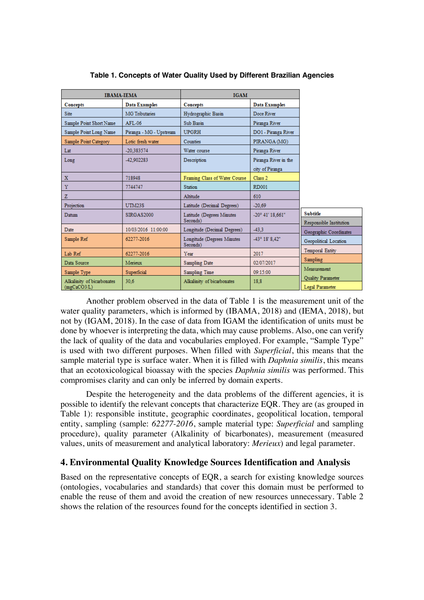| <b>IBAMA-IEMA</b>          |                         | <b>IGAM</b>                            |                         |                                                   |
|----------------------------|-------------------------|----------------------------------------|-------------------------|---------------------------------------------------|
| Concepts                   | <b>Data Examples</b>    | Concepts                               | <b>Data Examples</b>    |                                                   |
| <b>Site</b>                | <b>MG</b> Tributaries   | Hydrographic Basin                     | Doce River              |                                                   |
| Sample Point Short Name    | AFL-06                  | Sub Basin                              | Piranga River           |                                                   |
| Sample Point Long Name     | Piranga - MG - Upstream | <b>UPGRH</b>                           | DO1 - Piranga River     |                                                   |
| Sample Point Category      | Lotic fresh water       | <b>Counties</b>                        | PIRANGA (MG)            |                                                   |
| Lat                        | -20.383574              | Water course                           | Piranga River           |                                                   |
| Long                       | -42.902283              | Description                            | Piranga River in the    |                                                   |
|                            |                         |                                        | city of Piranga         |                                                   |
| $\mathbf x$                | 718948                  | Framing Class of Water Course          | Class 2                 |                                                   |
| Y                          | 7744747                 | <b>Station</b>                         | <b>RD001</b>            |                                                   |
| z                          |                         | Altitude                               | 610                     |                                                   |
| Projection                 | <b>UTM23S</b>           | Latitude (Decimal Degrees)             | $-20,69$                |                                                   |
| Datum                      | SIRGAS2000              | Latitude (Degrees Minutes<br>Seconds)  | -20° 41' 18.661"        | <b>Subtitle</b>                                   |
| Date                       | 10/03/2016 11:00:00     | Longitude (Decimal Degrees)            | $-43.3$                 | Responsible Institution<br>Geographic Coordinates |
| Sample Ref                 | 62277-2016              | Longitude (Degrees Minutes<br>Seconds) | $-43^{\circ}$ 18' 8.42" | Geopolitical Location                             |
| Lab Ref                    | 62277-2016              | Year                                   | 2017                    | <b>Temporal Entity</b>                            |
| Data Source                | Merieux                 | Sampling Date                          | 02/07/2017              | Sampling                                          |
| Sample Type                | Superficial             | Sampling Time                          | 09:15:00                | Measurement                                       |
| Alkalinity of bicarbonates | 30.6                    | Alkalinity of bicarbonates             | 18.8                    | Quality Parameter                                 |
| (mgCaCO3/L)                |                         |                                        |                         | Legal Parameter                                   |

#### **Table 1. Concepts of Water Quality Used by Different Brazilian Agencies**

Another problem observed in the data of Table 1 is the measurement unit of the water quality parameters, which is informed by (IBAMA, 2018) and (IEMA, 2018), but not by (IGAM, 2018). In the case of data from IGAM the identification of units must be done by whoever is interpreting the data, which may cause problems. Also, one can verify the lack of quality of the data and vocabularies employed. For example, "Sample Type" is used with two different purposes. When filled with *Superficial*, this means that the sample material type is surface water. When it is filled with *Daphnia similis*, this means that an ecotoxicological bioassay with the species *Daphnia similis* was performed. This compromises clarity and can only be inferred by domain experts.

Despite the heterogeneity and the data problems of the different agencies, it is possible to identify the relevant concepts that characterize EQR. They are (as grouped in Table 1): responsible institute, geographic coordinates, geopolitical location, temporal entity, sampling (sample: *62277-2016*, sample material type: *Superficial* and sampling procedure), quality parameter (Alkalinity of bicarbonates), measurement (measured values, units of measurement and analytical laboratory: *Merieux*) and legal parameter.

### **4. Environmental Quality Knowledge Sources Identification and Analysis**

Based on the representative concepts of EQR, a search for existing knowledge sources (ontologies, vocabularies and standards) that cover this domain must be performed to enable the reuse of them and avoid the creation of new resources unnecessary. Table 2 shows the relation of the resources found for the concepts identified in section 3.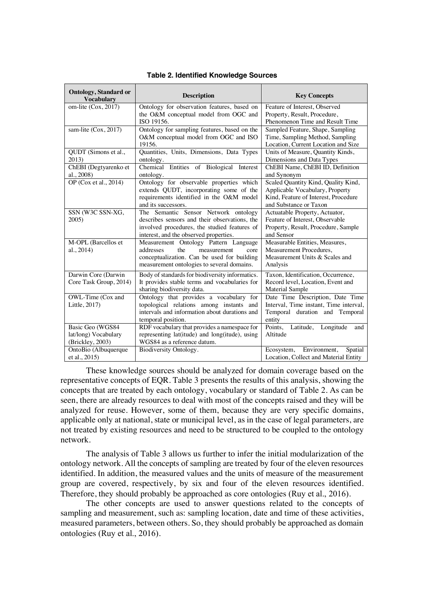| <b>Ontology, Standard or</b><br><b>Vocabulary</b> | <b>Description</b>                              | <b>Key Concepts</b>                    |  |  |  |
|---------------------------------------------------|-------------------------------------------------|----------------------------------------|--|--|--|
| om-lite (Cox, 2017)                               | Ontology for observation features, based on     | Feature of Interest, Observed          |  |  |  |
|                                                   | the O&M conceptual model from OGC and           | Property, Result, Procedure,           |  |  |  |
|                                                   | ISO 19156.                                      | Phenomenon Time and Result Time        |  |  |  |
| sam-lite (Cox, 2017)                              | Ontology for sampling features, based on the    | Sampled Feature, Shape, Sampling       |  |  |  |
|                                                   | O&M conceptual model from OGC and ISO           | Time, Sampling Method, Sampling        |  |  |  |
|                                                   | 19156.                                          | Location, Current Location and Size    |  |  |  |
| QUDT (Simons et al.,                              | Quantities, Units, Dimensions, Data Types       | Units of Measure, Quantity Kinds,      |  |  |  |
| 2013)                                             | ontology.                                       | Dimensions and Data Types              |  |  |  |
| ChEBI (Degtyarenko et                             | Chemical Entities of Biological Interest        | ChEBI Name, ChEBI ID, Definition       |  |  |  |
| al., 2008)                                        | ontology.                                       | and Synonym                            |  |  |  |
| OP (Cox et al., 2014)                             | Ontology for observable properties which        | Scaled Quantity Kind, Quality Kind,    |  |  |  |
|                                                   | extends QUDT, incorporating some of the         | Applicable Vocabulary, Property        |  |  |  |
|                                                   | requirements identified in the O&M model        | Kind, Feature of Interest, Procedure   |  |  |  |
|                                                   | and its successors.                             | and Substance or Taxon                 |  |  |  |
| SSN (W3C SSN-XG,                                  | The Semantic Sensor Network ontology            | Actuatable Property, Actuator,         |  |  |  |
| 2005                                              | describes sensors and their observations, the   | Feature of Interest, Observable        |  |  |  |
|                                                   | involved procedures, the studied features of    | Property, Result, Procedure, Sample    |  |  |  |
|                                                   | interest, and the observed properties.          | and Sensor                             |  |  |  |
| M-OPL (Barcellos et                               | Measurement Ontology Pattern Language           | Measurable Entities, Measures,         |  |  |  |
| al., 2014)                                        | the<br>addresses<br>measurement<br>core         | Measurement Procedures,                |  |  |  |
|                                                   | conceptualization. Can be used for building     | Measurement Units & Scales and         |  |  |  |
|                                                   | measurement ontologies to several domains.      | Analysis                               |  |  |  |
| Darwin Core (Darwin                               | Body of standards for biodiversity informatics. | Taxon, Identification, Occurrence,     |  |  |  |
| Core Task Group, 2014)                            | It provides stable terms and vocabularies for   | Record level, Location, Event and      |  |  |  |
|                                                   | sharing biodiversity data.                      | <b>Material Sample</b>                 |  |  |  |
| OWL-Time (Cox and                                 | Ontology that provides a vocabulary for         | Date Time Description, Date Time       |  |  |  |
| Little, 2017)                                     | topological relations among instants and        | Interval, Time instant, Time interval, |  |  |  |
|                                                   | intervals and information about durations and   | Temporal duration and Temporal         |  |  |  |
|                                                   | temporal position.                              | entity                                 |  |  |  |
| Basic Geo (WGS84                                  | RDF vocabulary that provides a namespace for    | Points, Latitude, Longitude<br>and     |  |  |  |
| lat/long) Vocabulary                              | representing lat(itude) and long(itude), using  | Altitude                               |  |  |  |
| (Brickley, 2003)                                  | WGS84 as a reference datum.                     |                                        |  |  |  |
| OntoBio (Albuquerque                              | Biodiversity Ontology.                          | Environment,<br>Spatial<br>Ecosystem,  |  |  |  |
| et al., 2015)                                     |                                                 | Location, Collect and Material Entity  |  |  |  |

**Table 2. Identified Knowledge Sources**

These knowledge sources should be analyzed for domain coverage based on the representative concepts of EQR. Table 3 presents the results of this analysis, showing the concepts that are treated by each ontology, vocabulary or standard of Table 2. As can be seen, there are already resources to deal with most of the concepts raised and they will be analyzed for reuse. However, some of them, because they are very specific domains, applicable only at national, state or municipal level, as in the case of legal parameters, are not treated by existing resources and need to be structured to be coupled to the ontology network.

The analysis of Table 3 allows us further to infer the initial modularization of the ontology network. All the concepts of sampling are treated by four of the eleven resources identified. In addition, the measured values and the units of measure of the measurement group are covered, respectively, by six and four of the eleven resources identified. Therefore, they should probably be approached as core ontologies (Ruy et al., 2016).

The other concepts are used to answer questions related to the concepts of sampling and measurement, such as: sampling location, date and time of these activities, measured parameters, between others. So, they should probably be approached as domain ontologies (Ruy et al., 2016).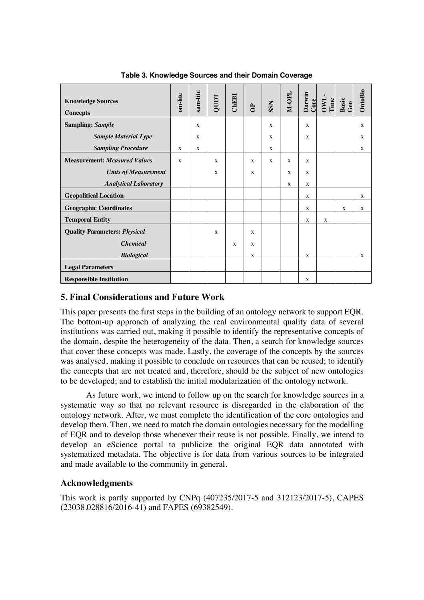| <b>Knowledge Sources</b><br><b>Concepts</b> | om-lite      | sam-lite    | QUIDT        | ChEBI       | $\mathbf{B}$ | <b>SSN</b>   | M-OPL        | Darwin<br>Core | OWL.<br>Time | Basic<br>Geo | OntoBio |
|---------------------------------------------|--------------|-------------|--------------|-------------|--------------|--------------|--------------|----------------|--------------|--------------|---------|
| <b>Sampling: Sample</b>                     |              | $\mathbf x$ |              |             |              | $\mathbf{X}$ |              | $\mathbf{x}$   |              |              | X       |
| <b>Sample Material Type</b>                 |              | X           |              |             |              | X            |              | $\mathbf{x}$   |              |              | X       |
| <b>Sampling Procedure</b>                   |              | X           |              |             |              | X            |              |                |              |              | X       |
| <b>Measurement: Measured Values</b>         | $\mathbf{x}$ |             | $\mathbf{x}$ |             | $\mathbf{x}$ | X            | $\mathbf{x}$ | $\mathbf{x}$   |              |              |         |
| <b>Units of Measurement</b>                 |              |             | X            |             | X            |              | $\mathbf{x}$ | $\mathbf{x}$   |              |              |         |
| <b>Analytical Laboratory</b>                |              |             |              |             |              |              | X            | X              |              |              |         |
| <b>Geopolitical Location</b>                |              |             |              |             |              |              |              | $\mathbf{x}$   |              |              | X       |
| <b>Geographic Coordinates</b>               |              |             |              |             |              |              |              | X              |              | $\mathbf{X}$ | X       |
| <b>Temporal Entity</b>                      |              |             |              |             |              |              |              | X              | $\mathbf{x}$ |              |         |
| <b>Quality Parameters: Physical</b>         |              |             | $\mathbf{x}$ |             | X            |              |              |                |              |              |         |
| <b>Chemical</b>                             |              |             |              | $\mathbf x$ | X            |              |              |                |              |              |         |
| <b>Biological</b>                           |              |             |              |             | X            |              |              | X              |              |              | X       |
| <b>Legal Parameters</b>                     |              |             |              |             |              |              |              |                |              |              |         |
| <b>Responsible Institution</b>              |              |             |              |             |              |              |              | X              |              |              |         |

**Table 3. Knowledge Sources and their Domain Coverage**

### **5. Final Considerations and Future Work**

This paper presents the first steps in the building of an ontology network to support EQR. The bottom-up approach of analyzing the real environmental quality data of several institutions was carried out, making it possible to identify the representative concepts of the domain, despite the heterogeneity of the data. Then, a search for knowledge sources that cover these concepts was made. Lastly, the coverage of the concepts by the sources was analysed, making it possible to conclude on resources that can be reused; to identify the concepts that are not treated and, therefore, should be the subject of new ontologies to be developed; and to establish the initial modularization of the ontology network.

As future work, we intend to follow up on the search for knowledge sources in a systematic way so that no relevant resource is disregarded in the elaboration of the ontology network. After, we must complete the identification of the core ontologies and develop them. Then, we need to match the domain ontologies necessary for the modelling of EQR and to develop those whenever their reuse is not possible. Finally, we intend to develop an eScience portal to publicize the original EQR data annotated with systematized metadata. The objective is for data from various sources to be integrated and made available to the community in general.

### **Acknowledgments**

This work is partly supported by CNPq (407235/2017-5 and 312123/2017-5), CAPES (23038.028816/2016-41) and FAPES (69382549).